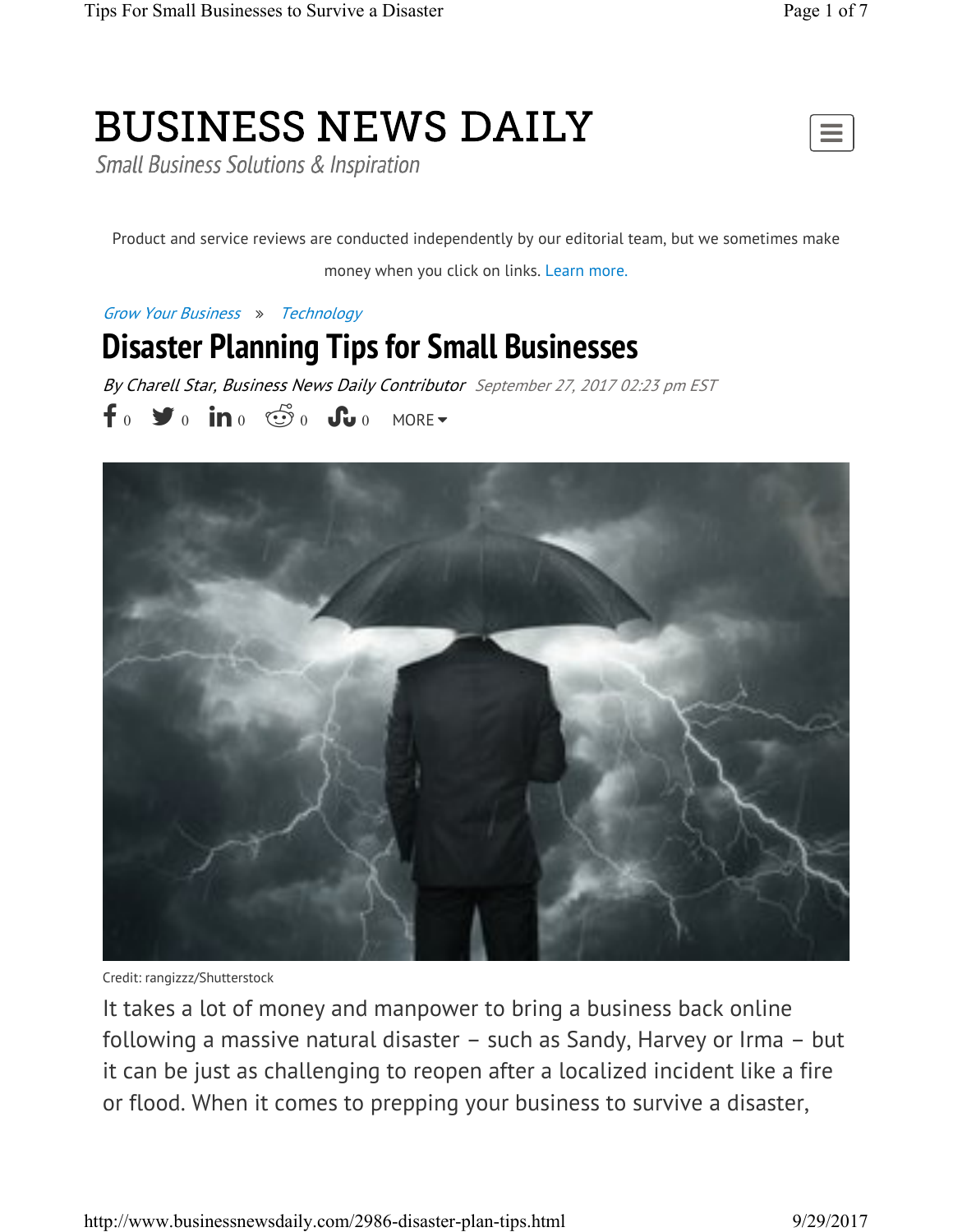# **BUSINESS NEWS DAILY**

**Small Business Solutions & Inspiration** 



Product and service reviews are conducted independently by our editorial team, but we sometimes make money when you click on links. Learn more.

Grow Your Business » Technology

### **Disaster Planning Tips for Small Businesses**

By Charell Star, Business News Daily Contributor September 27, 2017 02:23 pm EST  $f \circ \blacktriangleright$  o in o  $\mathfrak{S} \circ \mathfrak{S}$  o  $\mathfrak{S}$  o more.



Credit: rangizzz/Shutterstock

It takes a lot of money and manpower to bring a business back online following a massive natural disaster – such as Sandy, Harvey or Irma – but it can be just as challenging to reopen after a localized incident like a fire or flood. When it comes to prepping your business to survive a disaster,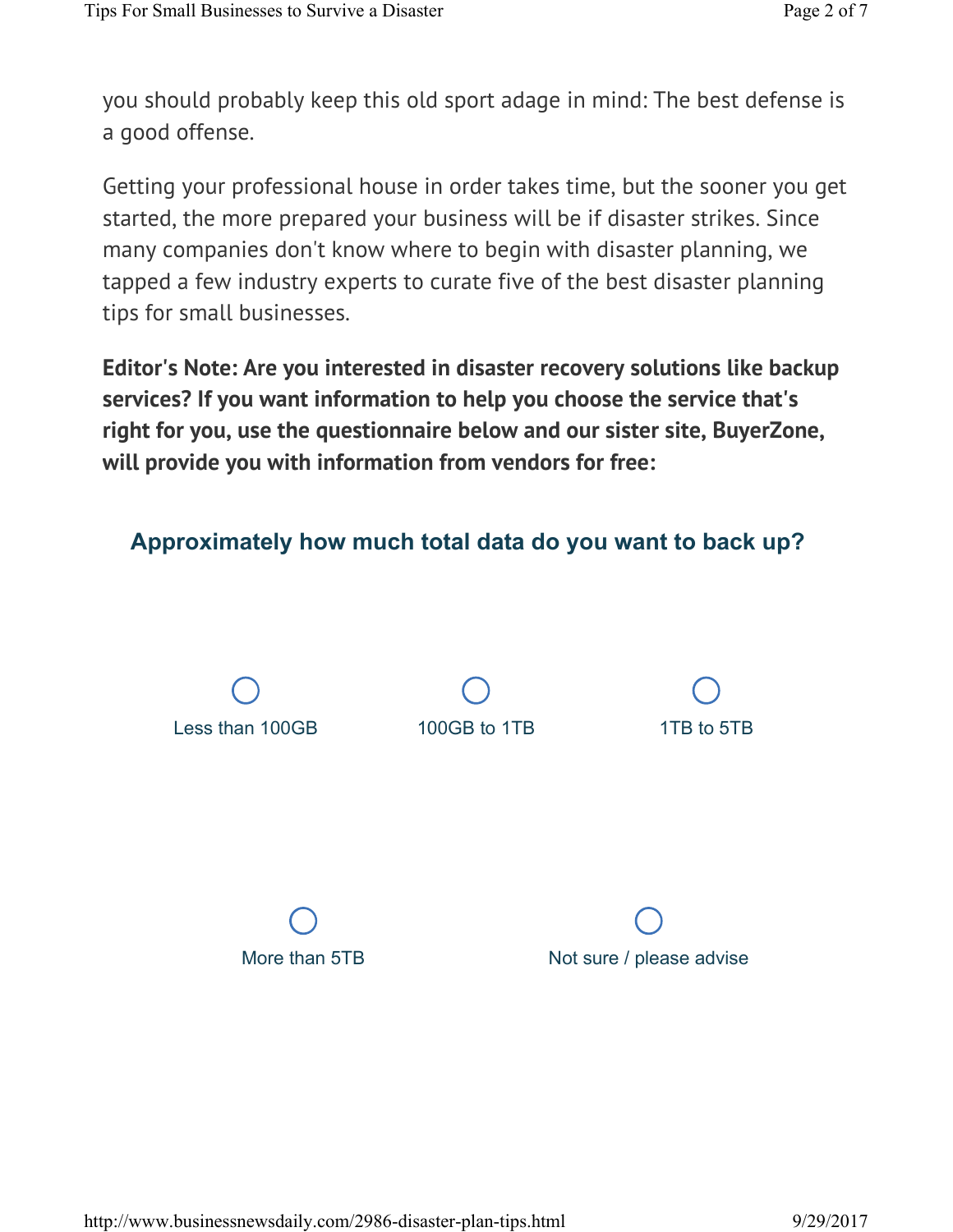you should probably keep this old sport adage in mind: The best defense is a good offense.

Getting your professional house in order takes time, but the sooner you get started, the more prepared your business will be if disaster strikes. Since many companies don't know where to begin with disaster planning, we tapped a few industry experts to curate five of the best disaster planning tips for small businesses.

**Editor's Note: Are you interested in disaster recovery solutions like backup services? If you want information to help you choose the service that's right for you, use the questionnaire below and our sister site, BuyerZone, will provide you with information from vendors for free:**



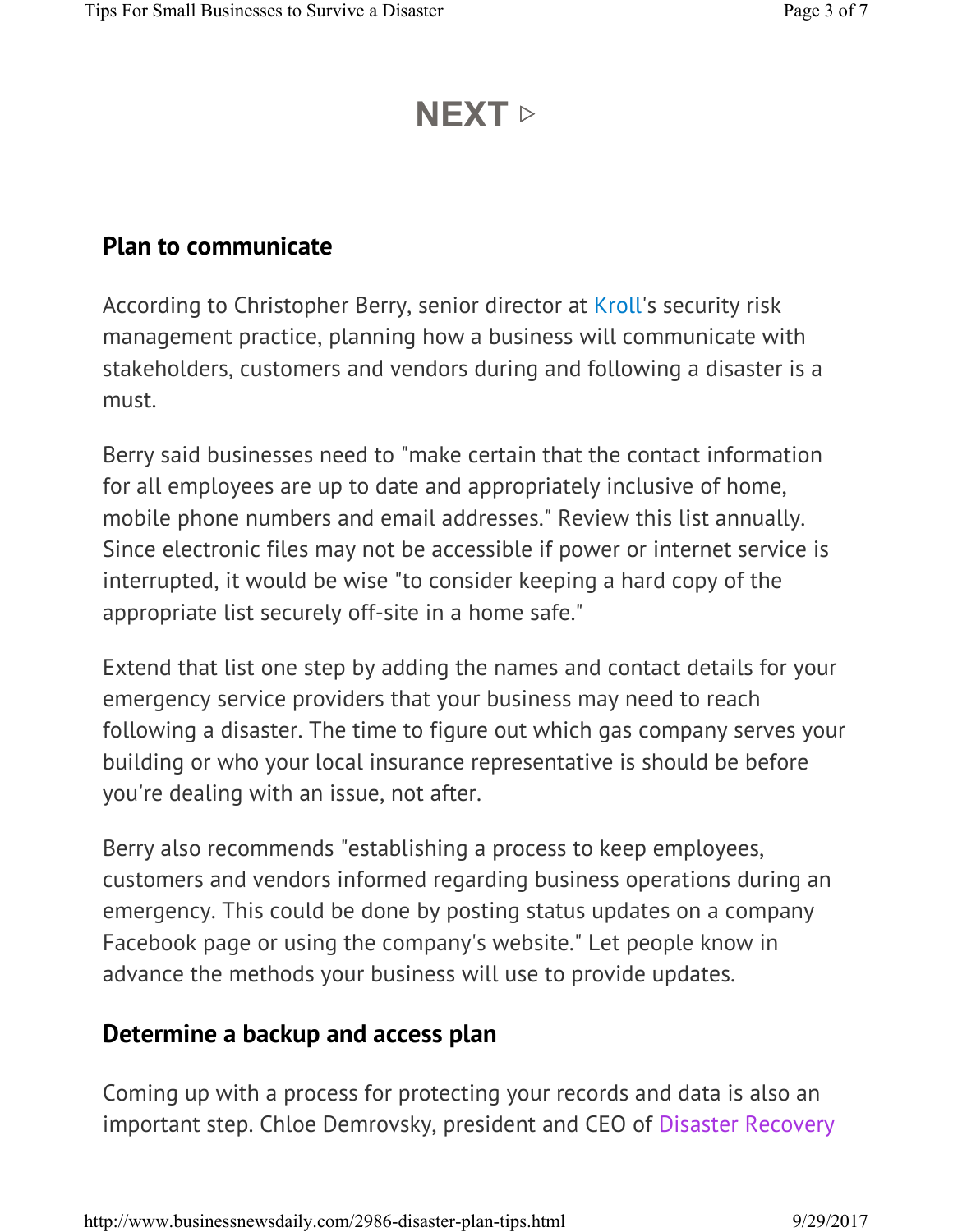## **NEXT** ▷

#### **Plan to communicate**

According to Christopher Berry, senior director at Kroll's security risk management practice, planning how a business will communicate with stakeholders, customers and vendors during and following a disaster is a must.

Berry said businesses need to "make certain that the contact information for all employees are up to date and appropriately inclusive of home, mobile phone numbers and email addresses." Review this list annually. Since electronic files may not be accessible if power or internet service is interrupted, it would be wise "to consider keeping a hard copy of the appropriate list securely off-site in a home safe."

Extend that list one step by adding the names and contact details for your emergency service providers that your business may need to reach following a disaster. The time to figure out which gas company serves your building or who your local insurance representative is should be before you're dealing with an issue, not after.

Berry also recommends "establishing a process to keep employees, customers and vendors informed regarding business operations during an emergency. This could be done by posting status updates on a company Facebook page or using the company's website." Let people know in advance the methods your business will use to provide updates.

#### **Determine a backup and access plan**

Coming up with a process for protecting your records and data is also an important step. Chloe Demrovsky, president and CEO of Disaster Recovery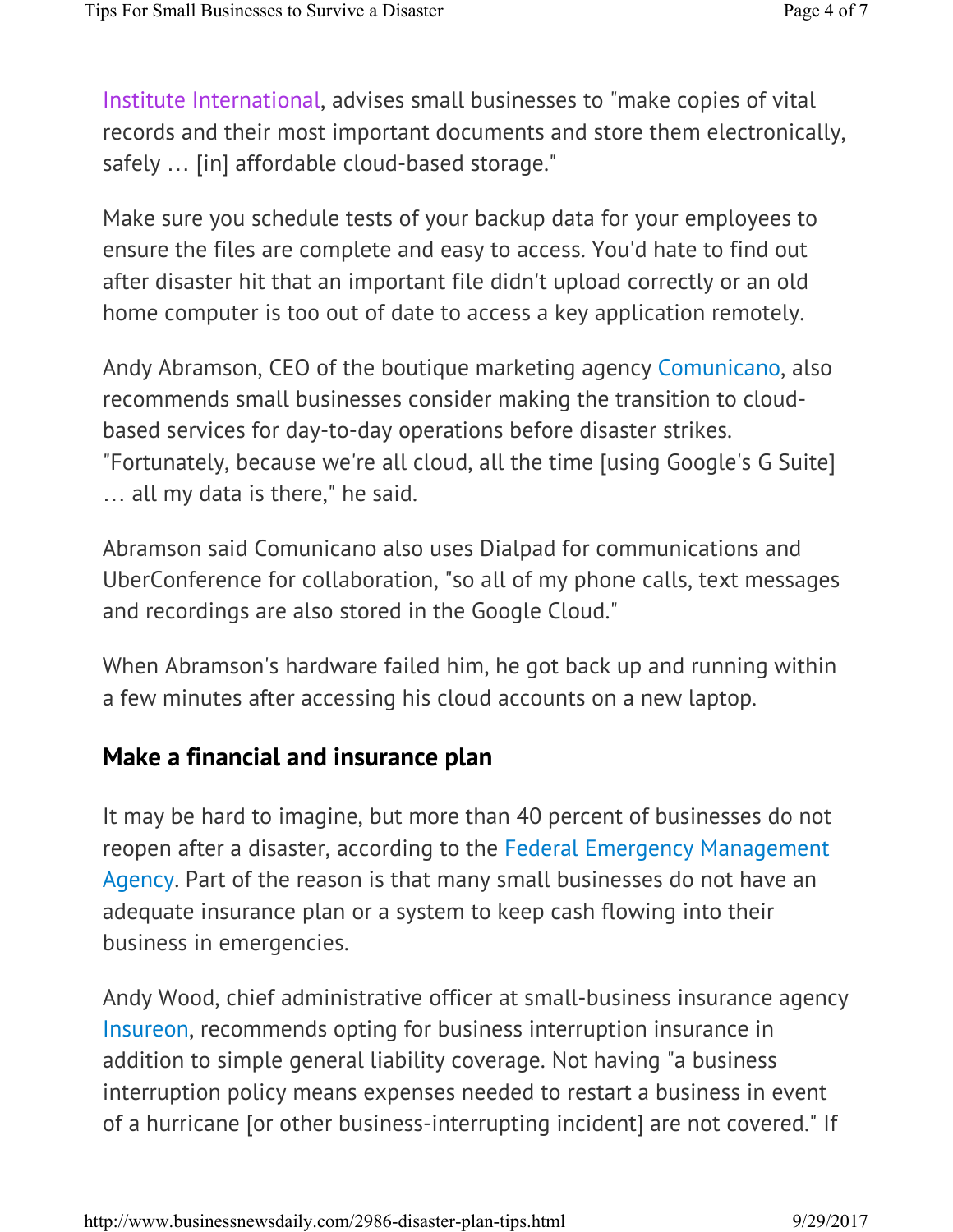Institute International, advises small businesses to "make copies of vital records and their most important documents and store them electronically, safely ... [in] affordable cloud-based storage."

Make sure you schedule tests of your backup data for your employees to ensure the files are complete and easy to access. You'd hate to find out after disaster hit that an important file didn't upload correctly or an old home computer is too out of date to access a key application remotely.

Andy Abramson, CEO of the boutique marketing agency Comunicano, also recommends small businesses consider making the transition to cloudbased services for day-to-day operations before disaster strikes. "Fortunately, because we're all cloud, all the time [using Google's G Suite] … all my data is there," he said.

Abramson said Comunicano also uses Dialpad for communications and UberConference for collaboration, "so all of my phone calls, text messages and recordings are also stored in the Google Cloud."

When Abramson's hardware failed him, he got back up and running within a few minutes after accessing his cloud accounts on a new laptop.

#### **Make a financial and insurance plan**

It may be hard to imagine, but more than 40 percent of businesses do not reopen after a disaster, according to the Federal Emergency Management Agency. Part of the reason is that many small businesses do not have an adequate insurance plan or a system to keep cash flowing into their business in emergencies.

Andy Wood, chief administrative officer at small-business insurance agency Insureon, recommends opting for business interruption insurance in addition to simple general liability coverage. Not having "a business interruption policy means expenses needed to restart a business in event of a hurricane [or other business-interrupting incident] are not covered." If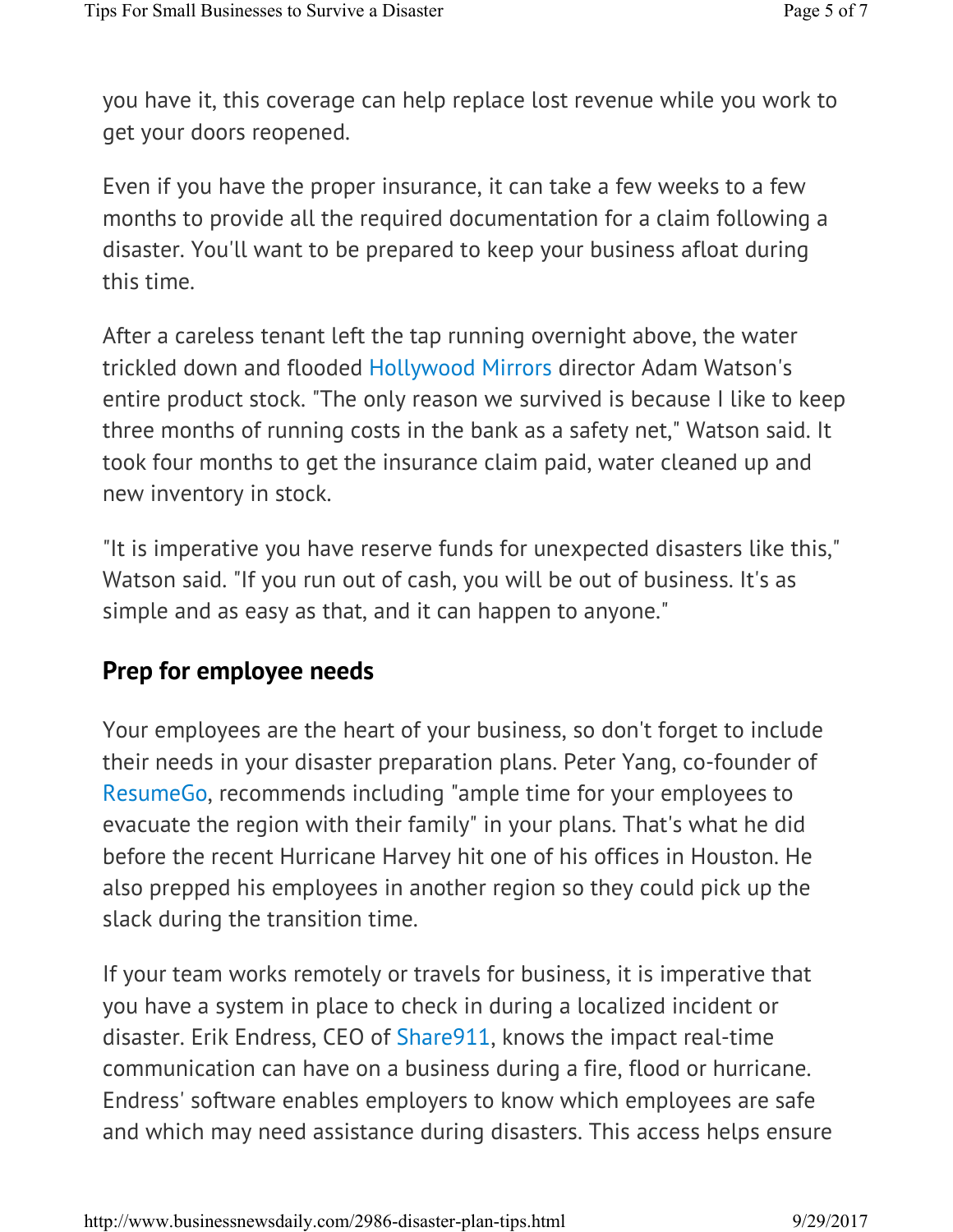you have it, this coverage can help replace lost revenue while you work to get your doors reopened.

Even if you have the proper insurance, it can take a few weeks to a few months to provide all the required documentation for a claim following a disaster. You'll want to be prepared to keep your business afloat during this time.

After a careless tenant left the tap running overnight above, the water trickled down and flooded Hollywood Mirrors director Adam Watson's entire product stock. "The only reason we survived is because I like to keep three months of running costs in the bank as a safety net," Watson said. It took four months to get the insurance claim paid, water cleaned up and new inventory in stock.

"It is imperative you have reserve funds for unexpected disasters like this," Watson said. "If you run out of cash, you will be out of business. It's as simple and as easy as that, and it can happen to anyone."

#### **Prep for employee needs**

Your employees are the heart of your business, so don't forget to include their needs in your disaster preparation plans. Peter Yang, co-founder of ResumeGo, recommends including "ample time for your employees to evacuate the region with their family" in your plans. That's what he did before the recent Hurricane Harvey hit one of his offices in Houston. He also prepped his employees in another region so they could pick up the slack during the transition time.

If your team works remotely or travels for business, it is imperative that you have a system in place to check in during a localized incident or disaster. Erik Endress, CEO of Share911, knows the impact real-time communication can have on a business during a fire, flood or hurricane. Endress' software enables employers to know which employees are safe and which may need assistance during disasters. This access helps ensure